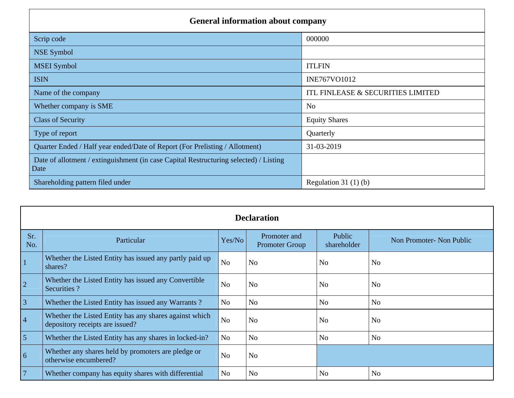| <b>General information about company</b>                                                      |                                   |
|-----------------------------------------------------------------------------------------------|-----------------------------------|
| Scrip code                                                                                    | 000000                            |
| <b>NSE Symbol</b>                                                                             |                                   |
| <b>MSEI</b> Symbol                                                                            | <b>ITLFIN</b>                     |
| <b>ISIN</b>                                                                                   | INE767VO1012                      |
| Name of the company                                                                           | ITL FINLEASE & SECURITIES LIMITED |
| Whether company is SME                                                                        | N <sub>o</sub>                    |
| <b>Class of Security</b>                                                                      | <b>Equity Shares</b>              |
| Type of report                                                                                | Quarterly                         |
| Quarter Ended / Half year ended/Date of Report (For Prelisting / Allotment)                   | 31-03-2019                        |
| Date of allotment / extinguishment (in case Capital Restructuring selected) / Listing<br>Date |                                   |
| Shareholding pattern filed under                                                              | Regulation $31(1)(b)$             |

|                |                                                                                           |                | <b>Declaration</b>                    |                       |                          |
|----------------|-------------------------------------------------------------------------------------------|----------------|---------------------------------------|-----------------------|--------------------------|
| Sr.<br>No.     | Particular                                                                                | Yes/No         | Promoter and<br><b>Promoter Group</b> | Public<br>shareholder | Non Promoter- Non Public |
|                | Whether the Listed Entity has issued any partly paid up<br>shares?                        | N <sub>o</sub> | N <sub>o</sub>                        | N <sub>o</sub>        | N <sub>o</sub>           |
| $\overline{2}$ | Whether the Listed Entity has issued any Convertible<br>Securities ?                      | No             | N <sub>o</sub>                        | <b>No</b>             | N <sub>o</sub>           |
| $\overline{3}$ | Whether the Listed Entity has issued any Warrants?                                        | No             | <b>No</b>                             | N <sub>o</sub>        | <b>No</b>                |
| $\vert 4$      | Whether the Listed Entity has any shares against which<br>depository receipts are issued? | <b>No</b>      | N <sub>o</sub>                        | <b>No</b>             | N <sub>o</sub>           |
| $\overline{5}$ | Whether the Listed Entity has any shares in locked-in?                                    | N <sub>o</sub> | <b>No</b>                             | N <sub>o</sub>        | <b>No</b>                |
| $\overline{6}$ | Whether any shares held by promoters are pledge or<br>otherwise encumbered?               | N <sub>o</sub> | N <sub>o</sub>                        |                       |                          |
| $\overline{7}$ | Whether company has equity shares with differential                                       | N <sub>o</sub> | N <sub>o</sub>                        | N <sub>o</sub>        | N <sub>o</sub>           |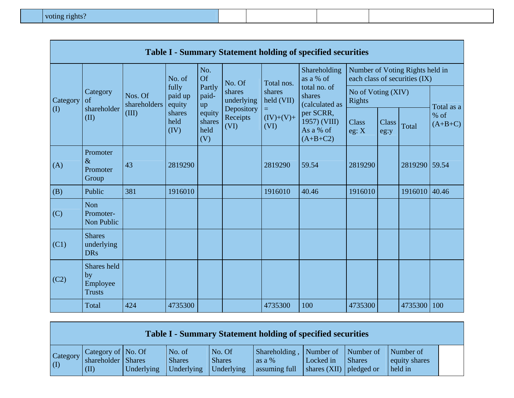|           |                                                |                         |                            |                                 |                                |                            | <b>Table I - Summary Statement holding of specified securities</b> |                              |                      |                                                                  |                   |
|-----------|------------------------------------------------|-------------------------|----------------------------|---------------------------------|--------------------------------|----------------------------|--------------------------------------------------------------------|------------------------------|----------------------|------------------------------------------------------------------|-------------------|
|           |                                                |                         | No. of                     | No.<br>Of                       | No. Of                         | Total nos.                 | Shareholding<br>as a % of                                          |                              |                      | Number of Voting Rights held in<br>each class of securities (IX) |                   |
| Category  | Category<br>of                                 | Nos. Of<br>shareholders | fully<br>paid up<br>equity | Partly<br>paid-<br>up           | shares<br>underlying           | shares<br>held (VII)       | total no. of<br>shares<br>(calculated as                           | No of Voting (XIV)<br>Rights |                      |                                                                  | Total as a        |
| $\rm (I)$ | shareholder<br>(II)                            | (III)                   | shares<br>held<br>(IV)     | equity<br>shares<br>held<br>(V) | Depository<br>Receipts<br>(VI) | $=$<br>$(IV)+(V)+$<br>(VI) | per SCRR,<br>1957) (VIII)<br>As a % of<br>$(A+B+C2)$               | <b>Class</b><br>eg: X        | <b>Class</b><br>eg:y | Total                                                            | % of<br>$(A+B+C)$ |
| (A)       | Promoter<br>$\&$<br>Promoter<br>Group          | 43                      | 2819290                    |                                 |                                | 2819290                    | 59.54                                                              | 2819290                      |                      | 2819290 59.54                                                    |                   |
| (B)       | Public                                         | 381                     | 1916010                    |                                 |                                | 1916010                    | 40.46                                                              | 1916010                      |                      | 1916010 40.46                                                    |                   |
| (C)       | Non<br>Promoter-<br>Non Public                 |                         |                            |                                 |                                |                            |                                                                    |                              |                      |                                                                  |                   |
| (C1)      | <b>Shares</b><br>underlying<br><b>DRs</b>      |                         |                            |                                 |                                |                            |                                                                    |                              |                      |                                                                  |                   |
| (C2)      | Shares held<br>by<br>Employee<br><b>Trusts</b> |                         |                            |                                 |                                |                            |                                                                    |                              |                      |                                                                  |                   |
|           | Total                                          | 424                     | 4735300                    |                                 |                                | 4735300                    | 100                                                                | 4735300                      |                      | 4735300 100                                                      |                   |

|                                        |                                                    |            |                                       |                                       | <b>Table I - Summary Statement holding of specified securities</b> |                                                      |               |                                       |  |
|----------------------------------------|----------------------------------------------------|------------|---------------------------------------|---------------------------------------|--------------------------------------------------------------------|------------------------------------------------------|---------------|---------------------------------------|--|
| Category<br>$\left( \mathrm{I}\right)$ | Category of No. Of<br>shareholder   Shares<br>(II) | Underlying | No. of<br><b>Shares</b><br>Underlying | No. Of<br><b>Shares</b><br>Underlying | Shareholding, Number of Number of<br>as a %<br>assuming full       | Locked in<br>$\vert$ shares (XII) $\vert$ pledged or | <b>Shares</b> | Number of<br>equity shares<br>held in |  |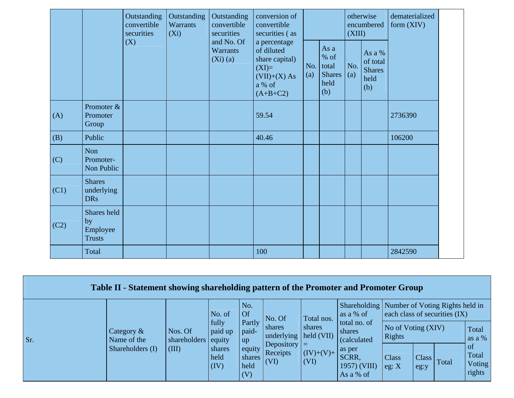|      |                                                | Outstanding<br>convertible<br>securities | Outstanding<br>Warrants<br>$(X_i)$ | Outstanding<br>convertible<br>securities | conversion of<br>convertible<br>securities (as                                                    |            |                                                       | (XIII)     | otherwise<br>encumbered                            | dematerialized<br>form $(XIV)$ |
|------|------------------------------------------------|------------------------------------------|------------------------------------|------------------------------------------|---------------------------------------------------------------------------------------------------|------------|-------------------------------------------------------|------------|----------------------------------------------------|--------------------------------|
|      |                                                | (X)                                      |                                    | and No. Of<br><b>Warrants</b><br>(Xi)(a) | a percentage<br>of diluted<br>share capital)<br>$(XI)=$<br>$(VII)+(X) As$<br>a % of<br>$(A+B+C2)$ | No.<br>(a) | As a<br>% of<br>total<br><b>Shares</b><br>held<br>(b) | No.<br>(a) | As a %<br>of total<br><b>Shares</b><br>held<br>(b) |                                |
| (A)  | Promoter &<br>Promoter<br>Group                |                                          |                                    |                                          | 59.54                                                                                             |            |                                                       |            |                                                    | 2736390                        |
| (B)  | Public                                         |                                          |                                    |                                          | 40.46                                                                                             |            |                                                       |            |                                                    | 106200                         |
| (C)  | Non<br>Promoter-<br>Non Public                 |                                          |                                    |                                          |                                                                                                   |            |                                                       |            |                                                    |                                |
| (C1) | <b>Shares</b><br>underlying<br><b>DRs</b>      |                                          |                                    |                                          |                                                                                                   |            |                                                       |            |                                                    |                                |
| (C2) | Shares held<br>by<br>Employee<br><b>Trusts</b> |                                          |                                    |                                          |                                                                                                   |            |                                                       |            |                                                    |                                |
|      | Total                                          |                                          |                                    |                                          | 100                                                                                               |            |                                                       |            |                                                    | 2842590                        |

|     | Table II - Statement showing shareholding pattern of the Promoter and Promoter Group |                                        |                        |                                 |                                     |                              |                                                             |                               |                            |       |                                 |
|-----|--------------------------------------------------------------------------------------|----------------------------------------|------------------------|---------------------------------|-------------------------------------|------------------------------|-------------------------------------------------------------|-------------------------------|----------------------------|-------|---------------------------------|
|     |                                                                                      |                                        | No. of                 | No.<br>Of                       | No. Of                              | Total nos.                   | Shareholding   Number of Voting Rights held in<br>as a % of | each class of securities (IX) |                            |       |                                 |
| Sr. | Category $\&$<br>Name of the                                                         | $\vert$ Nos. Of<br>shareholders equity | fully<br>paid up       | Partly<br>paid-<br>up           | shares<br>underlying                | shares<br>$\vert$ held (VII) | total no. of<br>shares<br><i>(calculated)</i>               | No of Voting (XIV)<br>Rights  |                            |       | Total<br>as a $%$               |
|     | Shareholders (I)                                                                     | $\vert$ (III)                          | shares<br>held<br>(IV) | equity<br>shares<br>held<br>(V) | Depository $ =$<br>Receipts<br>(VI) | $(IV)+(V)+$<br>(VI)          | as per<br>SCRR,<br>$1957)$ (VIII)<br>As a % of              | <b>Class</b><br>eg: X         | Class <sub>l</sub><br>eg:y | Total | of<br>Total<br>Voting<br>rights |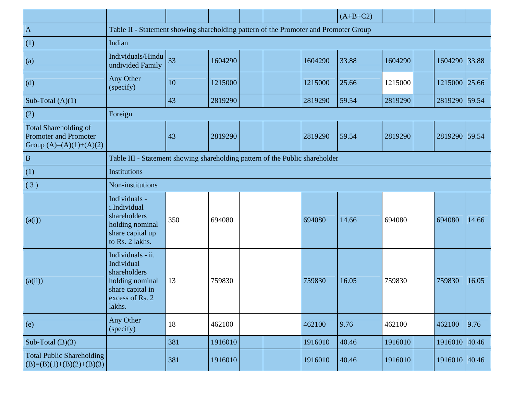|                                                                                           |                                                                                                                     |     |         |  |         | $(A+B+C2)$ |         |               |       |
|-------------------------------------------------------------------------------------------|---------------------------------------------------------------------------------------------------------------------|-----|---------|--|---------|------------|---------|---------------|-------|
| $\overline{A}$                                                                            | Table II - Statement showing shareholding pattern of the Promoter and Promoter Group                                |     |         |  |         |            |         |               |       |
| (1)                                                                                       | Indian                                                                                                              |     |         |  |         |            |         |               |       |
| (a)                                                                                       | Individuals/Hindu<br>undivided Family                                                                               | 33  | 1604290 |  | 1604290 | 33.88      | 1604290 | 1604290 33.88 |       |
| (d)                                                                                       | Any Other<br>(specify)                                                                                              | 10  | 1215000 |  | 1215000 | 25.66      | 1215000 | 1215000 25.66 |       |
| Sub-Total $(A)(1)$                                                                        |                                                                                                                     | 43  | 2819290 |  | 2819290 | 59.54      | 2819290 | 2819290 59.54 |       |
| (2)                                                                                       | Foreign                                                                                                             |     |         |  |         |            |         |               |       |
| <b>Total Shareholding of</b><br><b>Promoter and Promoter</b><br>Group $(A)=(A)(1)+(A)(2)$ |                                                                                                                     | 43  | 2819290 |  | 2819290 | 59.54      | 2819290 | 2819290 59.54 |       |
| $\, {\bf B}$                                                                              | Table III - Statement showing shareholding pattern of the Public shareholder                                        |     |         |  |         |            |         |               |       |
| (1)                                                                                       | Institutions                                                                                                        |     |         |  |         |            |         |               |       |
| (3)                                                                                       | Non-institutions                                                                                                    |     |         |  |         |            |         |               |       |
| (a(i))                                                                                    | Individuals -<br>i.Individual<br>shareholders<br>holding nominal<br>share capital up<br>to Rs. 2 lakhs.             | 350 | 694080  |  | 694080  | 14.66      | 694080  | 694080        | 14.66 |
| (a(ii))                                                                                   | Individuals - ii.<br>Individual<br>shareholders<br>holding nominal<br>share capital in<br>excess of Rs. 2<br>lakhs. | 13  | 759830  |  | 759830  | 16.05      | 759830  | 759830        | 16.05 |
| (e)                                                                                       | Any Other<br>(specify)                                                                                              | 18  | 462100  |  | 462100  | 9.76       | 462100  | 462100        | 9.76  |
| Sub-Total $(B)(3)$                                                                        |                                                                                                                     | 381 | 1916010 |  | 1916010 | 40.46      | 1916010 | 1916010 40.46 |       |
| <b>Total Public Shareholding</b><br>$(B)=(B)(1)+(B)(2)+(B)(3)$                            |                                                                                                                     | 381 | 1916010 |  | 1916010 | 40.46      | 1916010 | 1916010 40.46 |       |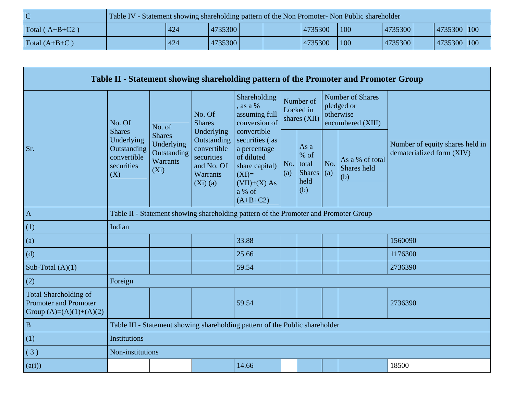| C                | Table IV - Statement showing shareholding pattern of the Non Promoter- Non Public shareholder |     |         |  |         |     |         |             |  |
|------------------|-----------------------------------------------------------------------------------------------|-----|---------|--|---------|-----|---------|-------------|--|
| Total $(A+B+C2)$ |                                                                                               | 424 | 4735300 |  | 4735300 | 100 | 4735300 | 4735300 100 |  |
| Total $(A+B+C)$  |                                                                                               | 424 | 4735300 |  | 4735300 | 100 | 4735300 | 4735300 100 |  |

|                                                                                           |                                                                                |                                                                          |                                                                                                |                                                                                                                                    |            |                                                        |     | Table II - Statement showing shareholding pattern of the Promoter and Promoter Group |                                                              |
|-------------------------------------------------------------------------------------------|--------------------------------------------------------------------------------|--------------------------------------------------------------------------|------------------------------------------------------------------------------------------------|------------------------------------------------------------------------------------------------------------------------------------|------------|--------------------------------------------------------|-----|--------------------------------------------------------------------------------------|--------------------------------------------------------------|
|                                                                                           | No. Of                                                                         | No. of                                                                   | No. Of<br><b>Shares</b>                                                                        | Shareholding<br>, as a $%$<br>assuming full<br>conversion of                                                                       |            | Number of<br>Locked in<br>shares (XII)                 |     | <b>Number of Shares</b><br>pledged or<br>otherwise<br>encumbered (XIII)              |                                                              |
| Sr.                                                                                       | <b>Shares</b><br>Underlying<br>Outstanding<br>convertible<br>securities<br>(X) | <b>Shares</b><br>Underlying<br>Outstanding<br><b>Warrants</b><br>$(X_i)$ | Underlying<br>Outstanding<br>convertible<br>securities<br>and No. Of<br>Warrants<br>$(Xi)$ (a) | convertible<br>securities (as<br>a percentage<br>of diluted<br>share capital)<br>$(XI)=$<br>$(VII)+(X) As$<br>a % of<br>$(A+B+C2)$ | No.<br>(a) | As a<br>$%$ of<br>total<br>Shares $(a)$<br>held<br>(b) | No. | As a % of total<br>Shares held<br>(b)                                                | Number of equity shares held in<br>dematerialized form (XIV) |
| $\mathbf A$                                                                               |                                                                                |                                                                          |                                                                                                | Table II - Statement showing shareholding pattern of the Promoter and Promoter Group                                               |            |                                                        |     |                                                                                      |                                                              |
| (1)                                                                                       | Indian                                                                         |                                                                          |                                                                                                |                                                                                                                                    |            |                                                        |     |                                                                                      |                                                              |
| (a)                                                                                       |                                                                                |                                                                          |                                                                                                | 33.88                                                                                                                              |            |                                                        |     |                                                                                      | 1560090                                                      |
| (d)                                                                                       |                                                                                |                                                                          |                                                                                                | 25.66                                                                                                                              |            |                                                        |     |                                                                                      | 1176300                                                      |
| Sub-Total $(A)(1)$                                                                        |                                                                                |                                                                          |                                                                                                | 59.54                                                                                                                              |            |                                                        |     |                                                                                      | 2736390                                                      |
| (2)                                                                                       | Foreign                                                                        |                                                                          |                                                                                                |                                                                                                                                    |            |                                                        |     |                                                                                      |                                                              |
| <b>Total Shareholding of</b><br><b>Promoter and Promoter</b><br>Group $(A)=(A)(1)+(A)(2)$ |                                                                                |                                                                          |                                                                                                | 59.54                                                                                                                              |            |                                                        |     |                                                                                      | 2736390                                                      |
| $\, {\bf B}$                                                                              |                                                                                |                                                                          |                                                                                                | Table III - Statement showing shareholding pattern of the Public shareholder                                                       |            |                                                        |     |                                                                                      |                                                              |
| (1)                                                                                       | Institutions                                                                   |                                                                          |                                                                                                |                                                                                                                                    |            |                                                        |     |                                                                                      |                                                              |
| (3)                                                                                       | Non-institutions                                                               |                                                                          |                                                                                                |                                                                                                                                    |            |                                                        |     |                                                                                      |                                                              |
| (a(i))                                                                                    |                                                                                |                                                                          |                                                                                                | 14.66                                                                                                                              |            |                                                        |     |                                                                                      | 18500                                                        |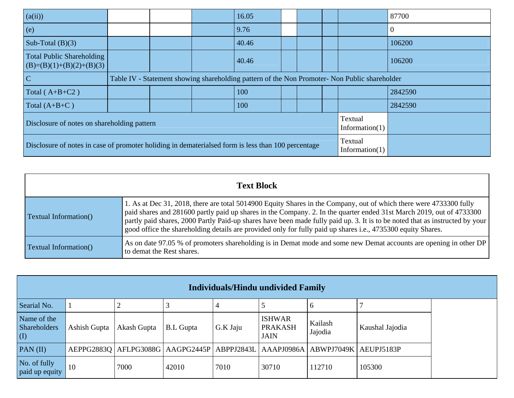| (a(ii))                                                                                            |  | 16.05 |  |                                                                                               | 87700   |
|----------------------------------------------------------------------------------------------------|--|-------|--|-----------------------------------------------------------------------------------------------|---------|
| (e)                                                                                                |  | 9.76  |  |                                                                                               |         |
| Sub-Total $(B)(3)$                                                                                 |  | 40.46 |  |                                                                                               | 106200  |
| Total Public Shareholding<br>$(B)=(B)(1)+(B)(2)+(B)(3)$                                            |  | 40.46 |  |                                                                                               | 106200  |
| $\overline{\mathbf{C}}$                                                                            |  |       |  | Table IV - Statement showing shareholding pattern of the Non Promoter- Non Public shareholder |         |
| Total $(A+B+C2)$                                                                                   |  | 100   |  |                                                                                               | 2842590 |
| Total $(A+B+C)$                                                                                    |  | 100   |  |                                                                                               | 2842590 |
| Disclosure of notes on shareholding pattern                                                        |  |       |  | Textual<br>Information $(1)$                                                                  |         |
| Disclosure of notes in case of promoter holiding in dematerialsed form is less than 100 percentage |  |       |  | Textual<br>Information $(1)$                                                                  |         |

|                       | <b>Text Block</b>                                                                                                                                                                                                                                                                                                                                                                                                                                                                          |
|-----------------------|--------------------------------------------------------------------------------------------------------------------------------------------------------------------------------------------------------------------------------------------------------------------------------------------------------------------------------------------------------------------------------------------------------------------------------------------------------------------------------------------|
| Textual Information() | 1. As at Dec 31, 2018, there are total 5014900 Equity Shares in the Company, out of which there were 4733300 fully<br>paid shares and 281600 partly paid up shares in the Company. 2. In the quarter ended 31st March 2019, out of 4733300<br>partly paid shares, 2000 Partly Paid-up shares have been made fully paid up. 3. It is to be noted that as instructed by your<br>good office the shareholding details are provided only for fully paid up shares i.e., 4735300 equity Shares. |
| Textual Information() | As on date 97.05 % of promoters shareholding is in Demat mode and some new Demat accounts are opening in other DP<br>to demat the Rest shares.                                                                                                                                                                                                                                                                                                                                             |

| <b>Individuals/Hindu undivided Family</b>                 |              |             |                  |          |                                                |                                                                                          |                 |  |
|-----------------------------------------------------------|--------------|-------------|------------------|----------|------------------------------------------------|------------------------------------------------------------------------------------------|-----------------|--|
| Searial No.                                               |              |             |                  |          |                                                |                                                                                          |                 |  |
| Name of the<br>Shareholders<br>$\left( \mathrm{I}\right)$ | Ashish Gupta | Akash Gupta | <b>B.L</b> Gupta | G.K Jaju | <b>ISHWAR</b><br><b>PRAKASH</b><br><b>JAIN</b> | Kailash<br>Jajodia                                                                       | Kaushal Jajodia |  |
| PAN(II)                                                   |              |             |                  |          |                                                | AEPPG2883Q   AFLPG3088G   AAGPG2445P   ABPPJ2843L   AAAPJ0986A   ABWPJ7049K   AEUPJ5183P |                 |  |
| No. of fully<br>paid up equity                            | 10           | 7000        | 42010            | 7010     | 30710                                          | 112710                                                                                   | 105300          |  |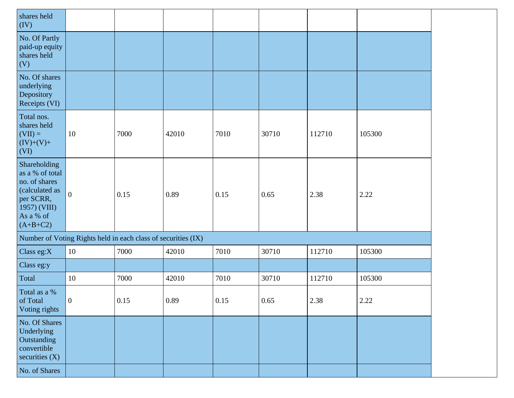| shares held<br>(IV)                                                                                                        |                                                               |      |       |      |       |        |        |
|----------------------------------------------------------------------------------------------------------------------------|---------------------------------------------------------------|------|-------|------|-------|--------|--------|
| No. Of Partly<br>paid-up equity<br>shares held<br>(V)                                                                      |                                                               |      |       |      |       |        |        |
| No. Of shares<br>underlying<br>Depository<br>Receipts (VI)                                                                 |                                                               |      |       |      |       |        |        |
| Total nos.<br>shares held<br>$(VII) =$<br>$(IV)+(V)+$<br>(VI)                                                              | 10                                                            | 7000 | 42010 | 7010 | 30710 | 112710 | 105300 |
| Shareholding<br>as a % of total<br>no. of shares<br>(calculated as<br>per SCRR,<br>1957) (VIII)<br>As a % of<br>$(A+B+C2)$ | $\boldsymbol{0}$                                              | 0.15 | 0.89  | 0.15 | 0.65  | 2.38   | 2.22   |
|                                                                                                                            | Number of Voting Rights held in each class of securities (IX) |      |       |      |       |        |        |
| Class eg:X                                                                                                                 | 10                                                            | 7000 | 42010 | 7010 | 30710 | 112710 | 105300 |
| Class eg:y                                                                                                                 |                                                               |      |       |      |       |        |        |
| Total                                                                                                                      | $10\,$                                                        | 7000 | 42010 | 7010 | 30710 | 112710 | 105300 |
| Total as a %<br>of Total<br>Voting rights                                                                                  | $\vert 0 \vert$                                               | 0.15 | 0.89  | 0.15 | 0.65  | 2.38   | 2.22   |
| No. Of Shares<br>Underlying<br>Outstanding<br>convertible<br>securities $(X)$                                              |                                                               |      |       |      |       |        |        |
| No. of Shares                                                                                                              |                                                               |      |       |      |       |        |        |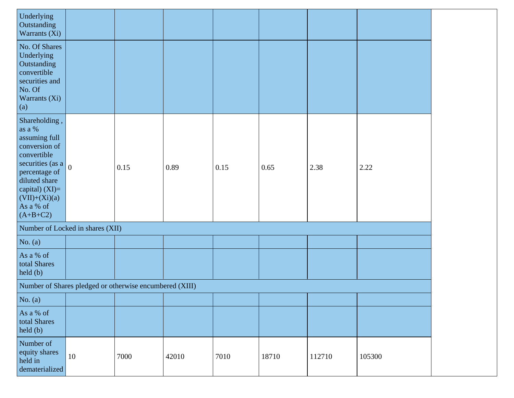| Underlying<br>Outstanding<br>Warrants (Xi)                                                                                                                                                          |                                                         |      |       |      |       |        |        |
|-----------------------------------------------------------------------------------------------------------------------------------------------------------------------------------------------------|---------------------------------------------------------|------|-------|------|-------|--------|--------|
| No. Of Shares<br>Underlying<br>Outstanding<br>convertible<br>securities and<br>No. Of<br>Warrants (Xi)<br>(a)                                                                                       |                                                         |      |       |      |       |        |        |
| Shareholding,<br>as a $\%$<br>assuming full<br>conversion of<br>convertible<br>securities (as a<br>percentage of<br>diluted share<br>capital) $(XI)=$<br>$(VII)+(Xi)(a)$<br>As a % of<br>$(A+B+C2)$ | $\overline{0}$                                          | 0.15 | 0.89  | 0.15 | 0.65  | 2.38   | 2.22   |
|                                                                                                                                                                                                     | Number of Locked in shares (XII)                        |      |       |      |       |        |        |
| No. $(a)$                                                                                                                                                                                           |                                                         |      |       |      |       |        |        |
| As a % of<br>total Shares<br>$\text{held}(\text{b})$                                                                                                                                                |                                                         |      |       |      |       |        |        |
|                                                                                                                                                                                                     | Number of Shares pledged or otherwise encumbered (XIII) |      |       |      |       |        |        |
| No. $(a)$                                                                                                                                                                                           |                                                         |      |       |      |       |        |        |
| As a % of<br>total Shares<br>held (b)                                                                                                                                                               |                                                         |      |       |      |       |        |        |
| Number of<br>equity shares<br>held in<br>dematerialized                                                                                                                                             | 10                                                      | 7000 | 42010 | 7010 | 18710 | 112710 | 105300 |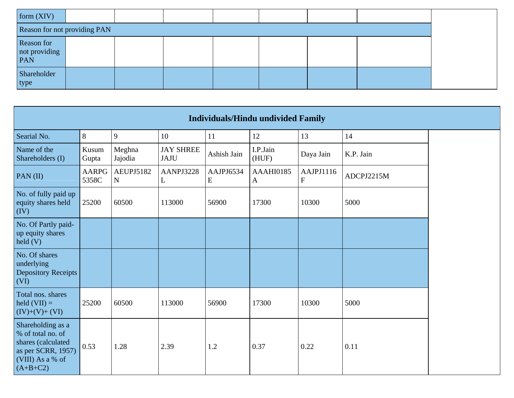| form $(XIV)$                       |                              |  |  |  |  |
|------------------------------------|------------------------------|--|--|--|--|
|                                    | Reason for not providing PAN |  |  |  |  |
| Reason for<br>not providing<br>PAN |                              |  |  |  |  |
| Shareholder<br>type                |                              |  |  |  |  |

|                                                                                                                      |                       |                        |                                 |                | <b>Individuals/Hindu undivided Family</b> |                           |            |
|----------------------------------------------------------------------------------------------------------------------|-----------------------|------------------------|---------------------------------|----------------|-------------------------------------------|---------------------------|------------|
| Searial No.                                                                                                          | 8                     | 9                      | 10                              | 11             | 12                                        | 13                        | 14         |
| Name of the<br>Shareholders (I)                                                                                      | Kusum<br>Gupta        | Meghna<br>Jajodia      | <b>JAY SHREE</b><br><b>JAJU</b> | Ashish Jain    | I.P.Jain<br>(HUF)                         | Daya Jain                 | K.P. Jain  |
| PAN(II)                                                                                                              | <b>AARPG</b><br>5358C | AEUPJ5182<br>${\bf N}$ | AANPJ3228<br>L                  | AAJPJ6534<br>E | AAAHI0185<br>A                            | AAJPJ1116<br>$\mathbf{F}$ | ADCPJ2215M |
| No. of fully paid up<br>equity shares held<br>(IV)                                                                   | 25200                 | 60500                  | 113000                          | 56900          | 17300                                     | 10300                     | 5000       |
| No. Of Partly paid-<br>up equity shares<br>$\text{held}$ (V)                                                         |                       |                        |                                 |                |                                           |                           |            |
| No. Of shares<br>underlying<br><b>Depository Receipts</b><br>(VI)                                                    |                       |                        |                                 |                |                                           |                           |            |
| Total nos. shares<br>$\text{held (VII)} =$<br>$(IV)+(V)+(VI)$                                                        | 25200                 | 60500                  | 113000                          | 56900          | 17300                                     | 10300                     | 5000       |
| Shareholding as a<br>% of total no. of<br>shares (calculated<br>as per SCRR, 1957)<br>(VIII) As a % of<br>$(A+B+C2)$ | 0.53                  | 1.28                   | 2.39                            | 1.2            | 0.37                                      | 0.22                      | 0.11       |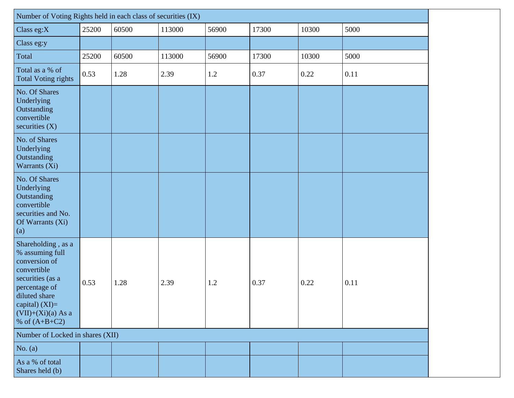| Number of Voting Rights held in each class of securities (IX)                                                                                                                              |       |       |        |       |       |       |      |
|--------------------------------------------------------------------------------------------------------------------------------------------------------------------------------------------|-------|-------|--------|-------|-------|-------|------|
| Class eg:X                                                                                                                                                                                 | 25200 | 60500 | 113000 | 56900 | 17300 | 10300 | 5000 |
| Class eg:y                                                                                                                                                                                 |       |       |        |       |       |       |      |
| Total                                                                                                                                                                                      | 25200 | 60500 | 113000 | 56900 | 17300 | 10300 | 5000 |
| Total as a % of<br><b>Total Voting rights</b>                                                                                                                                              | 0.53  | 1.28  | 2.39   | 1.2   | 0.37  | 0.22  | 0.11 |
| No. Of Shares<br>Underlying<br>Outstanding<br>convertible<br>securities $(X)$                                                                                                              |       |       |        |       |       |       |      |
| No. of Shares<br>Underlying<br>Outstanding<br>Warrants (Xi)                                                                                                                                |       |       |        |       |       |       |      |
| No. Of Shares<br>Underlying<br>Outstanding<br>convertible<br>securities and No.<br>Of Warrants (Xi)<br>(a)                                                                                 |       |       |        |       |       |       |      |
| Shareholding, as a<br>% assuming full<br>conversion of<br>convertible<br>securities (as a<br>percentage of<br>diluted share<br>capital) $(XI)=$<br>$(VII)+(Xi)(a) As a$<br>% of $(A+B+C2)$ | 0.53  | 1.28  | 2.39   | 1.2   | 0.37  | 0.22  | 0.11 |
| Number of Locked in shares (XII)                                                                                                                                                           |       |       |        |       |       |       |      |
| No. $(a)$                                                                                                                                                                                  |       |       |        |       |       |       |      |
| As a % of total<br>Shares held (b)                                                                                                                                                         |       |       |        |       |       |       |      |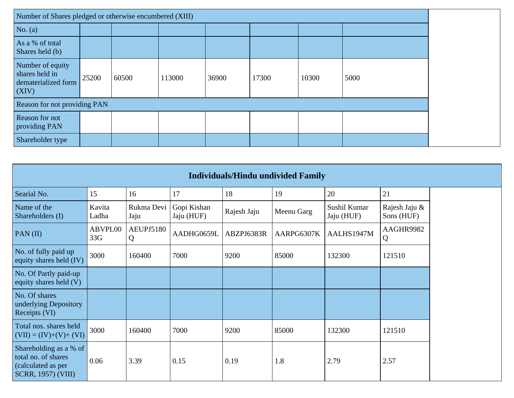| Number of Shares pledged or otherwise encumbered (XIII)            |       |       |        |       |       |       |      |
|--------------------------------------------------------------------|-------|-------|--------|-------|-------|-------|------|
| No. $(a)$                                                          |       |       |        |       |       |       |      |
| As a % of total<br>Shares held (b)                                 |       |       |        |       |       |       |      |
| Number of equity<br>shares held in<br>dematerialized form<br>(XIV) | 25200 | 60500 | 113000 | 36900 | 17300 | 10300 | 5000 |
| Reason for not providing PAN                                       |       |       |        |       |       |       |      |
| Reason for not<br>providing PAN                                    |       |       |        |       |       |       |      |
| Shareholder type                                                   |       |       |        |       |       |       |      |

|                                                                                                  | <b>Individuals/Hindu undivided Family</b> |                    |                           |             |            |                            |                             |  |  |  |  |  |
|--------------------------------------------------------------------------------------------------|-------------------------------------------|--------------------|---------------------------|-------------|------------|----------------------------|-----------------------------|--|--|--|--|--|
| Searial No.                                                                                      | 15                                        | 16                 | 17                        | 18          | 19         | 20                         | 21                          |  |  |  |  |  |
| Name of the<br>Shareholders (I)                                                                  | Kavita<br>Ladha                           | Rukma Devi<br>Jaju | Gopi Kishan<br>Jaju (HUF) | Rajesh Jaju | Meenu Garg | Sushil Kumar<br>Jaju (HUF) | Rajesh Jaju &<br>Sons (HUF) |  |  |  |  |  |
| PAN(II)                                                                                          | ABVPL00<br>33G                            | AEUPJ5180<br>Q     | AADHG0659L                | ABZPJ6383R  | AARPG6307K | AALHS1947M                 | AAGHR9982<br>Q              |  |  |  |  |  |
| No. of fully paid up<br>equity shares held (IV)                                                  | 3000                                      | 160400             | 7000                      | 9200        | 85000      | 132300                     | 121510                      |  |  |  |  |  |
| No. Of Partly paid-up<br>equity shares held $(V)$                                                |                                           |                    |                           |             |            |                            |                             |  |  |  |  |  |
| No. Of shares<br>underlying Depository<br>Receipts (VI)                                          |                                           |                    |                           |             |            |                            |                             |  |  |  |  |  |
| Total nos. shares held<br>$(VII) = (IV)+(V)+(VI)$                                                | 3000                                      | 160400             | 7000                      | 9200        | 85000      | 132300                     | 121510                      |  |  |  |  |  |
| Shareholding as a % of<br>total no. of shares<br>(calculated as per<br><b>SCRR, 1957) (VIII)</b> | 0.06                                      | 3.39               | 0.15                      | 0.19        | 1.8        | 2.79                       | 2.57                        |  |  |  |  |  |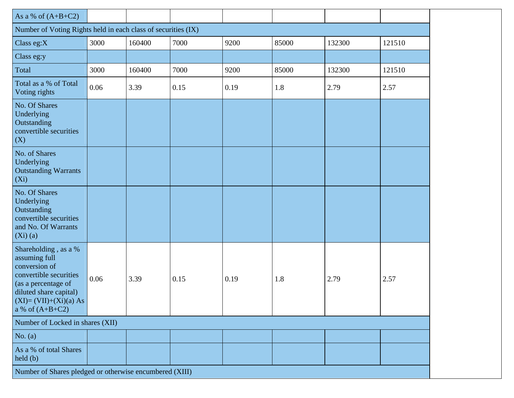| As a % of $(A+B+C2)$                                                                                                                                                              |      |        |      |      |       |        |        |
|-----------------------------------------------------------------------------------------------------------------------------------------------------------------------------------|------|--------|------|------|-------|--------|--------|
| Number of Voting Rights held in each class of securities (IX)                                                                                                                     |      |        |      |      |       |        |        |
| Class eg:X                                                                                                                                                                        | 3000 | 160400 | 7000 | 9200 | 85000 | 132300 | 121510 |
| Class eg:y                                                                                                                                                                        |      |        |      |      |       |        |        |
| Total                                                                                                                                                                             | 3000 | 160400 | 7000 | 9200 | 85000 | 132300 | 121510 |
| Total as a % of Total<br>Voting rights                                                                                                                                            | 0.06 | 3.39   | 0.15 | 0.19 | 1.8   | 2.79   | 2.57   |
| No. Of Shares<br>Underlying<br>Outstanding<br>convertible securities<br>(X)                                                                                                       |      |        |      |      |       |        |        |
| No. of Shares<br>Underlying<br><b>Outstanding Warrants</b><br>$(X_i)$                                                                                                             |      |        |      |      |       |        |        |
| No. Of Shares<br>Underlying<br>Outstanding<br>convertible securities<br>and No. Of Warrants<br>(Xi)(a)                                                                            |      |        |      |      |       |        |        |
| Shareholding, as a %<br>assuming full<br>conversion of<br>convertible securities<br>(as a percentage of<br>diluted share capital)<br>$(XI)=(VII)+(Xi)(a) As$<br>a % of $(A+B+C2)$ | 0.06 | 3.39   | 0.15 | 0.19 | 1.8   | 2.79   | 2.57   |
| Number of Locked in shares (XII)                                                                                                                                                  |      |        |      |      |       |        |        |
| No. (a)                                                                                                                                                                           |      |        |      |      |       |        |        |
| As a % of total Shares<br>held (b)                                                                                                                                                |      |        |      |      |       |        |        |
| Number of Shares pledged or otherwise encumbered (XIII)                                                                                                                           |      |        |      |      |       |        |        |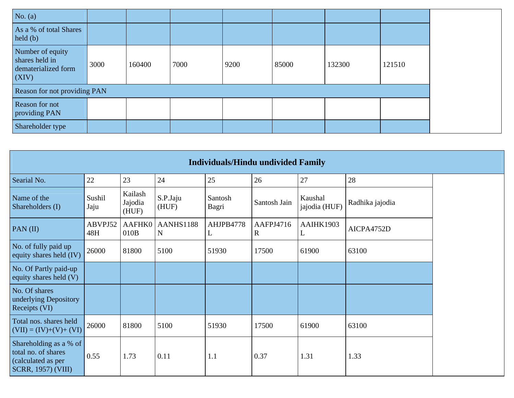| No. $(a)$                                                          |      |        |      |      |       |        |        |
|--------------------------------------------------------------------|------|--------|------|------|-------|--------|--------|
| As a % of total Shares<br>held(b)                                  |      |        |      |      |       |        |        |
| Number of equity<br>shares held in<br>dematerialized form<br>(XIV) | 3000 | 160400 | 7000 | 9200 | 85000 | 132300 | 121510 |
| Reason for not providing PAN                                       |      |        |      |      |       |        |        |
| Reason for not<br>providing PAN                                    |      |        |      |      |       |        |        |
| Shareholder type                                                   |      |        |      |      |       |        |        |

|                                                                                                  |                |                             |                          | <b>Individuals/Hindu undivided Family</b> |                          |                          |                 |
|--------------------------------------------------------------------------------------------------|----------------|-----------------------------|--------------------------|-------------------------------------------|--------------------------|--------------------------|-----------------|
| Searial No.                                                                                      | 22             | 23                          | 24                       | 25                                        | 26                       | 27                       | 28              |
| Name of the<br>Shareholders (I)                                                                  | Sushil<br>Jaju | Kailash<br>Jajodia<br>(HUF) | S.P.Jaju<br>(HUF)        | Santosh<br>Bagri                          | Santosh Jain             | Kaushal<br>jajodia (HUF) | Radhika jajodia |
| PAN $(II)$                                                                                       | ABVPJ52<br>48H | <b>AAFHK0</b><br>010B       | AANHS1188<br>$\mathbf N$ | AHJPB4778<br>L                            | AAFPJ4716<br>$\mathbf R$ | AAIHK1903<br>L           | AICPA4752D      |
| No. of fully paid up<br>equity shares held (IV)                                                  | 26000          | 81800                       | 5100                     | 51930                                     | 17500                    | 61900                    | 63100           |
| No. Of Partly paid-up<br>equity shares held (V)                                                  |                |                             |                          |                                           |                          |                          |                 |
| No. Of shares<br>underlying Depository<br>Receipts (VI)                                          |                |                             |                          |                                           |                          |                          |                 |
| Total nos. shares held<br>$(VII) = (IV)+(V)+(VI)$                                                | 26000          | 81800                       | 5100                     | 51930                                     | 17500                    | 61900                    | 63100           |
| Shareholding as a % of<br>total no. of shares<br>(calculated as per<br><b>SCRR, 1957) (VIII)</b> | 0.55           | 1.73                        | 0.11                     | 1.1                                       | 0.37                     | 1.31                     | 1.33            |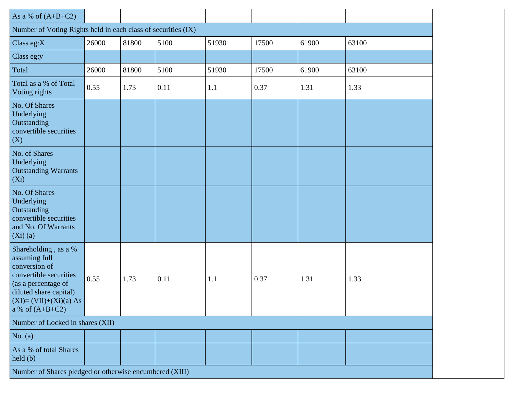| As a % of $(A+B+C2)$<br>Number of Voting Rights held in each class of securities (IX)<br>61900<br>63100<br>Class eg:X<br>26000<br>81800<br>51930<br>17500<br>5100<br>Class eg:y<br>Total<br>5100<br>26000<br>81800<br>51930<br>61900<br>63100<br>17500 |
|--------------------------------------------------------------------------------------------------------------------------------------------------------------------------------------------------------------------------------------------------------|
|                                                                                                                                                                                                                                                        |
|                                                                                                                                                                                                                                                        |
|                                                                                                                                                                                                                                                        |
|                                                                                                                                                                                                                                                        |
|                                                                                                                                                                                                                                                        |
| Total as a % of Total<br>0.55<br>0.11<br>0.37<br>1.33<br>1.73<br>1.1<br>1.31<br>Voting rights                                                                                                                                                          |
| No. Of Shares<br>Underlying<br>Outstanding<br>convertible securities<br>(X)                                                                                                                                                                            |
| No. of Shares<br>Underlying<br><b>Outstanding Warrants</b><br>$(X_i)$                                                                                                                                                                                  |
| No. Of Shares<br>Underlying<br>Outstanding<br>convertible securities<br>and No. Of Warrants<br>(Xi)(a)                                                                                                                                                 |
| Shareholding, as a %<br>assuming full<br>conversion of<br>convertible securities<br>0.55<br>1.73<br>0.11<br>0.37<br>1.31<br>1.33<br>1.1<br>(as a percentage of<br>diluted share capital)<br>$(XI)=(VII)+(Xi)(a) As$<br>a % of $(A+B+C2)$               |
| Number of Locked in shares (XII)                                                                                                                                                                                                                       |
| No. $(a)$                                                                                                                                                                                                                                              |
| As a % of total Shares<br>held(b)                                                                                                                                                                                                                      |
| Number of Shares pledged or otherwise encumbered (XIII)                                                                                                                                                                                                |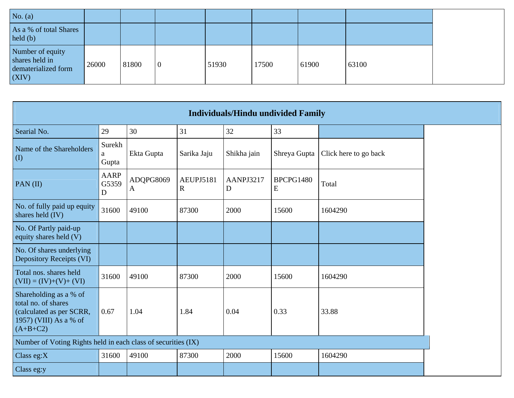| No. $(a)$                                                          |       |       |                |       |       |       |       |
|--------------------------------------------------------------------|-------|-------|----------------|-------|-------|-------|-------|
| As a % of total Shares<br>$\text{held}(\text{b})$                  |       |       |                |       |       |       |       |
| Number of equity<br>shares held in<br>dematerialized form<br>(XIV) | 26000 | 81800 | $\overline{0}$ | 51930 | 17500 | 61900 | 63100 |

|                                                                                                                   | <b>Individuals/Hindu undivided Family</b> |                |                          |                          |                        |                       |  |  |
|-------------------------------------------------------------------------------------------------------------------|-------------------------------------------|----------------|--------------------------|--------------------------|------------------------|-----------------------|--|--|
| Searial No.                                                                                                       | 29                                        | 30             | 31                       | 32                       | 33                     |                       |  |  |
| Name of the Shareholders<br>(I)                                                                                   | Surekh<br>a<br>Gupta                      | Ekta Gupta     | Sarika Jaju              | Shikha jain              | Shreya Gupta           | Click here to go back |  |  |
| PAN $(II)$                                                                                                        | <b>AARP</b><br>G5359<br>D                 | ADQPG8069<br>A | AEUPJ5181<br>$\mathbf R$ | AANPJ3217<br>$\mathbf D$ | BPCPG1480<br>${\bf E}$ | Total                 |  |  |
| No. of fully paid up equity<br>shares held (IV)                                                                   | 31600                                     | 49100          | 87300                    | 2000                     | 15600                  | 1604290               |  |  |
| No. Of Partly paid-up<br>equity shares held (V)                                                                   |                                           |                |                          |                          |                        |                       |  |  |
| No. Of shares underlying<br><b>Depository Receipts (VI)</b>                                                       |                                           |                |                          |                          |                        |                       |  |  |
| Total nos. shares held<br>$(VII) = (IV)+(V)+(VI)$                                                                 | 31600                                     | 49100          | 87300                    | 2000                     | 15600                  | 1604290               |  |  |
| Shareholding as a % of<br>total no. of shares<br>(calculated as per SCRR,<br>1957) (VIII) As a % of<br>$(A+B+C2)$ | 0.67                                      | 1.04           | 1.84                     | 0.04                     | 0.33                   | 33.88                 |  |  |
| Number of Voting Rights held in each class of securities (IX)                                                     |                                           |                |                          |                          |                        |                       |  |  |
| Class eg: $X$                                                                                                     | 31600                                     | 49100          | 87300                    | 2000                     | 15600                  | 1604290               |  |  |
| Class eg:y                                                                                                        |                                           |                |                          |                          |                        |                       |  |  |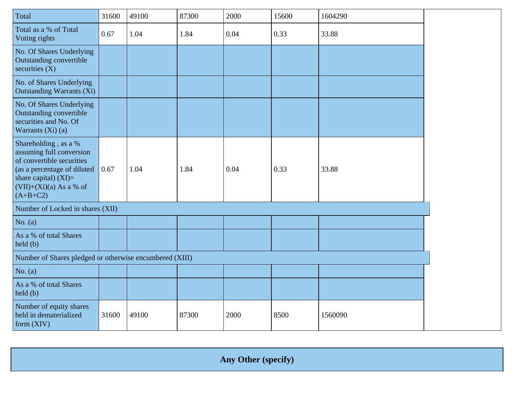| Total                                                                                                                                                                              | 31600 | 49100 | 87300 | 2000 | 15600 | 1604290 |
|------------------------------------------------------------------------------------------------------------------------------------------------------------------------------------|-------|-------|-------|------|-------|---------|
| Total as a % of Total<br>Voting rights                                                                                                                                             | 0.67  | 1.04  | 1.84  | 0.04 | 0.33  | 33.88   |
| No. Of Shares Underlying<br><b>Outstanding convertible</b><br>securities $(X)$                                                                                                     |       |       |       |      |       |         |
| No. of Shares Underlying<br><b>Outstanding Warrants (Xi)</b>                                                                                                                       |       |       |       |      |       |         |
| No. Of Shares Underlying<br><b>Outstanding convertible</b><br>securities and No. Of<br>Warrants $(Xi)$ (a)                                                                         |       |       |       |      |       |         |
| Shareholding, as a %<br>assuming full conversion<br>of convertible securities<br>(as a percentage of diluted<br>share capital) $(XI)$ =<br>$(VII)+(Xi)(a)$ As a % of<br>$(A+B+C2)$ | 0.67  | 1.04  | 1.84  | 0.04 | 0.33  | 33.88   |
| Number of Locked in shares (XII)                                                                                                                                                   |       |       |       |      |       |         |
| No. $(a)$                                                                                                                                                                          |       |       |       |      |       |         |
| As a % of total Shares<br>$\text{held}(\text{b})$                                                                                                                                  |       |       |       |      |       |         |
| Number of Shares pledged or otherwise encumbered (XIII)                                                                                                                            |       |       |       |      |       |         |
| No. $(a)$                                                                                                                                                                          |       |       |       |      |       |         |
| As a % of total Shares<br>$\text{held}(\text{b})$                                                                                                                                  |       |       |       |      |       |         |
| Number of equity shares<br>held in dematerialized<br>form (XIV)                                                                                                                    | 31600 | 49100 | 87300 | 2000 | 8500  | 1560090 |

**Any Other (specify)**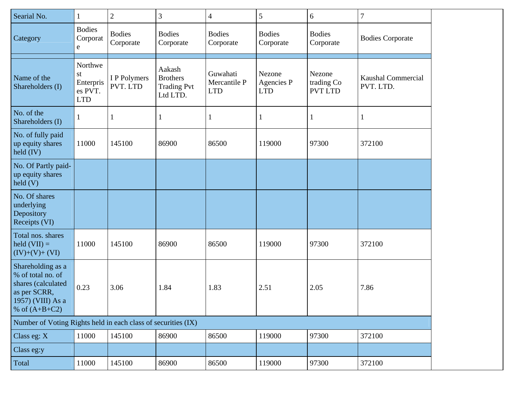| Searial No.                                                                                                          | $\mathbf{1}$                                        | 2                          | 3                                                           | $\overline{\mathcal{A}}$               | 5                                  | 6                                      | $\overline{7}$                         |
|----------------------------------------------------------------------------------------------------------------------|-----------------------------------------------------|----------------------------|-------------------------------------------------------------|----------------------------------------|------------------------------------|----------------------------------------|----------------------------------------|
| Category                                                                                                             | <b>Bodies</b><br>Corporat<br>e                      | <b>Bodies</b><br>Corporate | <b>Bodies</b><br>Corporate                                  | <b>Bodies</b><br>Corporate             | <b>Bodies</b><br>Corporate         | <b>Bodies</b><br>Corporate             | <b>Bodies Corporate</b>                |
| Name of the<br>Shareholders (I)                                                                                      | Northwe<br>st<br>Enterpris<br>es PVT.<br><b>LTD</b> | I P Polymers<br>PVT. LTD   | Aakash<br><b>Brothers</b><br><b>Trading Pvt</b><br>Ltd LTD. | Guwahati<br>Mercantile P<br><b>LTD</b> | Nezone<br>Agencies P<br><b>LTD</b> | Nezone<br>trading Co<br><b>PVT LTD</b> | <b>Kaushal Commercial</b><br>PVT. LTD. |
| No. of the<br>Shareholders (I)                                                                                       | $\mathbf{I}$                                        |                            | 1                                                           | $\mathbf{1}$                           | 1                                  |                                        | $\mathbf{1}$                           |
| No. of fully paid<br>up equity shares<br>held $(IV)$                                                                 | 11000                                               | 145100                     | 86900                                                       | 86500                                  | 119000                             | 97300                                  | 372100                                 |
| No. Of Partly paid-<br>up equity shares<br>$\text{held}(V)$                                                          |                                                     |                            |                                                             |                                        |                                    |                                        |                                        |
| No. Of shares<br>underlying<br>Depository<br>Receipts (VI)                                                           |                                                     |                            |                                                             |                                        |                                    |                                        |                                        |
| Total nos. shares<br>held $(VII) =$<br>$(IV)+(V)+(VI)$                                                               | 11000                                               | 145100                     | 86900                                                       | 86500                                  | 119000                             | 97300                                  | 372100                                 |
| Shareholding as a<br>% of total no. of<br>shares (calculated<br>as per SCRR,<br>1957) (VIII) As a<br>% of $(A+B+C2)$ | 0.23                                                | 3.06                       | 1.84                                                        | 1.83                                   | 2.51                               | 2.05                                   | 7.86                                   |
| Number of Voting Rights held in each class of securities (IX)                                                        |                                                     |                            |                                                             |                                        |                                    |                                        |                                        |
| Class eg: X                                                                                                          | 11000                                               | 145100                     | 86900                                                       | 86500                                  | 119000                             | 97300                                  | 372100                                 |
| Class eg:y                                                                                                           |                                                     |                            |                                                             |                                        |                                    |                                        |                                        |
| Total                                                                                                                | 11000                                               | 145100                     | 86900                                                       | 86500                                  | 119000                             | 97300                                  | 372100                                 |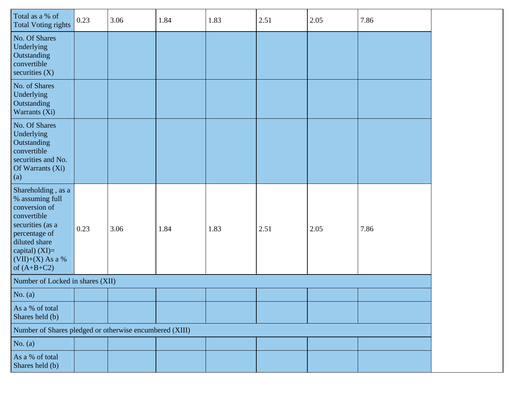| Total as a % of<br><b>Total Voting rights</b>                                                                                                                                          | 0.23 | 3.06 | 1.84 | 1.83 | 2.51 | 2.05 | 7.86 |
|----------------------------------------------------------------------------------------------------------------------------------------------------------------------------------------|------|------|------|------|------|------|------|
| No. Of Shares<br>Underlying<br>Outstanding<br>convertible<br>securities $(X)$                                                                                                          |      |      |      |      |      |      |      |
| No. of Shares<br>Underlying<br>Outstanding<br>Warrants (Xi)                                                                                                                            |      |      |      |      |      |      |      |
| No. Of Shares<br>Underlying<br>Outstanding<br>convertible<br>securities and No.<br>Of Warrants (Xi)<br>(a)                                                                             |      |      |      |      |      |      |      |
| Shareholding, as a<br>% assuming full<br>conversion of<br>convertible<br>securities (as a<br>percentage of<br>diluted share<br>capital) $(XI)=$<br>$(VII)+(X)$ As a %<br>of $(A+B+C2)$ | 0.23 | 3.06 | 1.84 | 1.83 | 2.51 | 2.05 | 7.86 |
| Number of Locked in shares (XII)                                                                                                                                                       |      |      |      |      |      |      |      |
| No. $(a)$                                                                                                                                                                              |      |      |      |      |      |      |      |
| As a % of total<br>Shares held (b)                                                                                                                                                     |      |      |      |      |      |      |      |
| Number of Shares pledged or otherwise encumbered (XIII)                                                                                                                                |      |      |      |      |      |      |      |
| No. $(a)$                                                                                                                                                                              |      |      |      |      |      |      |      |
| As a % of total<br>Shares held (b)                                                                                                                                                     |      |      |      |      |      |      |      |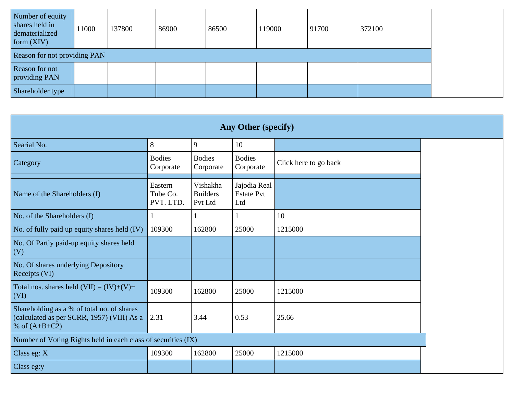| Number of equity<br>shares held in<br>dematerialized<br>form $(XIV)$ | 11000 | 137800 | 86900 | 86500 | 119000 | 91700 | 372100 |
|----------------------------------------------------------------------|-------|--------|-------|-------|--------|-------|--------|
| <b>Reason for not providing PAN</b>                                  |       |        |       |       |        |       |        |
| Reason for not<br>providing PAN                                      |       |        |       |       |        |       |        |
| Shareholder type                                                     |       |        |       |       |        |       |        |

|                                                                                                             | Any Other (specify)              |                                        |                                          |                       |  |  |  |
|-------------------------------------------------------------------------------------------------------------|----------------------------------|----------------------------------------|------------------------------------------|-----------------------|--|--|--|
| Searial No.                                                                                                 | 8                                | 9                                      | 10                                       |                       |  |  |  |
| Category                                                                                                    | <b>Bodies</b><br>Corporate       | <b>Bodies</b><br>Corporate             | <b>Bodies</b><br>Corporate               | Click here to go back |  |  |  |
| Name of the Shareholders (I)                                                                                | Eastern<br>Tube Co.<br>PVT. LTD. | Vishakha<br><b>Builders</b><br>Pvt Ltd | Jajodia Real<br><b>Estate Pvt</b><br>Ltd |                       |  |  |  |
| No. of the Shareholders (I)                                                                                 |                                  |                                        |                                          | 10                    |  |  |  |
| No. of fully paid up equity shares held (IV)                                                                | 109300                           | 162800                                 | 25000                                    | 1215000               |  |  |  |
| No. Of Partly paid-up equity shares held<br>(V)                                                             |                                  |                                        |                                          |                       |  |  |  |
| No. Of shares underlying Depository<br>Receipts (VI)                                                        |                                  |                                        |                                          |                       |  |  |  |
| Total nos. shares held $(VII) = (IV)+(V)+$<br>(VI)                                                          | 109300                           | 162800                                 | 25000                                    | 1215000               |  |  |  |
| Shareholding as a % of total no. of shares<br>(calculated as per SCRR, 1957) (VIII) As a<br>% of $(A+B+C2)$ | 2.31                             | 3.44                                   | 0.53                                     | 25.66                 |  |  |  |
| Number of Voting Rights held in each class of securities (IX)                                               |                                  |                                        |                                          |                       |  |  |  |
| Class eg: $X$                                                                                               | 109300                           | 162800                                 | 25000                                    | 1215000               |  |  |  |
| Class eg:y                                                                                                  |                                  |                                        |                                          |                       |  |  |  |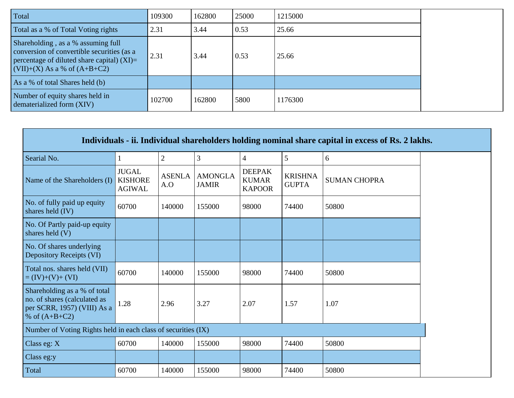| Total                                                                                                                                                                 | 109300 | 162800 | 25000 | 1215000 |
|-----------------------------------------------------------------------------------------------------------------------------------------------------------------------|--------|--------|-------|---------|
| Total as a % of Total Voting rights                                                                                                                                   | 2.31   | 3.44   | 0.53  | 25.66   |
| Shareholding, as a % assuming full<br>conversion of convertible securities (as a<br>percentage of diluted share capital) $(XI)$ =<br>$(VII)+(X)$ As a % of $(A+B+C2)$ | 2.31   | 3.44   | 0.53  | 25.66   |
| As a % of total Shares held (b)                                                                                                                                       |        |        |       |         |
| Number of equity shares held in<br>dematerialized form (XIV)                                                                                                          | 102700 | 162800 | 5800  | 1176300 |

|                                                                                                                | Individuals - ii. Individual shareholders holding nominal share capital in excess of Rs. 2 lakhs. |                      |                                |                                                |                                |                     |  |  |  |
|----------------------------------------------------------------------------------------------------------------|---------------------------------------------------------------------------------------------------|----------------------|--------------------------------|------------------------------------------------|--------------------------------|---------------------|--|--|--|
| Searial No.                                                                                                    |                                                                                                   | $\overline{2}$       | 3                              | $\overline{4}$                                 | 5                              | 6                   |  |  |  |
| Name of the Shareholders (I)                                                                                   | <b>JUGAL</b><br><b>KISHORE</b><br><b>AGIWAL</b>                                                   | <b>ASENLA</b><br>A.O | <b>AMONGLA</b><br><b>JAMIR</b> | <b>DEEPAK</b><br><b>KUMAR</b><br><b>KAPOOR</b> | <b>KRISHNA</b><br><b>GUPTA</b> | <b>SUMAN CHOPRA</b> |  |  |  |
| No. of fully paid up equity<br>shares held (IV)                                                                | 60700                                                                                             | 140000               | 155000                         | 98000                                          | 74400                          | 50800               |  |  |  |
| No. Of Partly paid-up equity<br>shares held $(V)$                                                              |                                                                                                   |                      |                                |                                                |                                |                     |  |  |  |
| No. Of shares underlying<br>Depository Receipts (VI)                                                           |                                                                                                   |                      |                                |                                                |                                |                     |  |  |  |
| Total nos. shares held (VII)<br>$= (IV)+(V)+(VI)$                                                              | 60700                                                                                             | 140000               | 155000                         | 98000                                          | 74400                          | 50800               |  |  |  |
| Shareholding as a % of total<br>no. of shares (calculated as<br>per SCRR, 1957) (VIII) As a<br>% of $(A+B+C2)$ | 1.28                                                                                              | 2.96                 | 3.27                           | 2.07                                           | 1.57                           | 1.07                |  |  |  |
| Number of Voting Rights held in each class of securities (IX)                                                  |                                                                                                   |                      |                                |                                                |                                |                     |  |  |  |
| Class eg: $X$                                                                                                  | 60700                                                                                             | 140000               | 155000                         | 98000                                          | 74400                          | 50800               |  |  |  |
| Class eg:y                                                                                                     |                                                                                                   |                      |                                |                                                |                                |                     |  |  |  |
| Total                                                                                                          | 60700                                                                                             | 140000               | 155000                         | 98000                                          | 74400                          | 50800               |  |  |  |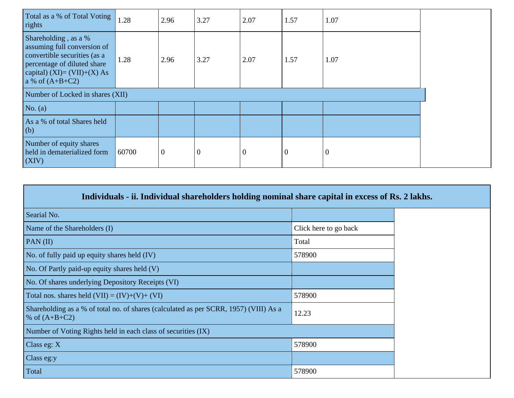| Total as a % of Total Voting<br>rights                                                                                                                                   | 1.28  | 2.96             | 3.27             | 2.07             | 1.57             | 1.07             |  |
|--------------------------------------------------------------------------------------------------------------------------------------------------------------------------|-------|------------------|------------------|------------------|------------------|------------------|--|
| Shareholding, as a %<br>assuming full conversion of<br>convertible securities (as a<br>percentage of diluted share<br>capital) (XI)= $(VII)+(X)$ As<br>a % of $(A+B+C2)$ | 1.28  | 2.96             | 3.27             | 2.07             | 1.57             | 1.07             |  |
| Number of Locked in shares (XII)                                                                                                                                         |       |                  |                  |                  |                  |                  |  |
| No. $(a)$                                                                                                                                                                |       |                  |                  |                  |                  |                  |  |
| As a % of total Shares held<br>(b)                                                                                                                                       |       |                  |                  |                  |                  |                  |  |
| Number of equity shares<br>held in dematerialized form<br>(XIV)                                                                                                          | 60700 | $\boldsymbol{0}$ | $\boldsymbol{0}$ | $\boldsymbol{0}$ | $\boldsymbol{0}$ | $\boldsymbol{0}$ |  |

|     | Individuals - ii. Individual shareholders holding nominal share capital in excess of Rs. 2 lakhs. |  |
|-----|---------------------------------------------------------------------------------------------------|--|
| No. |                                                                                                   |  |

| Searial No.                                                                                              |                       |
|----------------------------------------------------------------------------------------------------------|-----------------------|
| Name of the Shareholders (I)                                                                             | Click here to go back |
| PAN(II)                                                                                                  | Total                 |
| No. of fully paid up equity shares held (IV)                                                             | 578900                |
| No. Of Partly paid-up equity shares held (V)                                                             |                       |
| No. Of shares underlying Depository Receipts (VI)                                                        |                       |
| Total nos. shares held $(VII) = (IV)+(V)+(VI)$                                                           | 578900                |
| Shareholding as a % of total no. of shares (calculated as per SCRR, 1957) (VIII) As a<br>% of $(A+B+C2)$ | 12.23                 |
| Number of Voting Rights held in each class of securities (IX)                                            |                       |
| Class eg: $X$                                                                                            | 578900                |
| Class eg:y                                                                                               |                       |
| Total                                                                                                    | 578900                |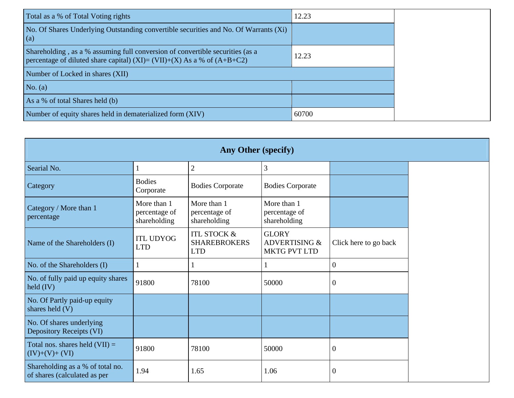| Total as a % of Total Voting rights                                                                                                                      | 12.23 |
|----------------------------------------------------------------------------------------------------------------------------------------------------------|-------|
| No. Of Shares Underlying Outstanding convertible securities and No. Of Warrants (Xi)<br>(a)                                                              |       |
| Shareholding, as a % assuming full conversion of convertible securities (as a<br>percentage of diluted share capital) (XI)= (VII)+(X) As a % of (A+B+C2) | 12.23 |
| Number of Locked in shares (XII)                                                                                                                         |       |
| No. $(a)$                                                                                                                                                |       |
| As a % of total Shares held (b)                                                                                                                          |       |
| Number of equity shares held in dematerialized form (XIV)                                                                                                | 60700 |

| <b>Any Other (specify)</b>                                       |                                              |                                                             |                                                                 |                       |  |  |
|------------------------------------------------------------------|----------------------------------------------|-------------------------------------------------------------|-----------------------------------------------------------------|-----------------------|--|--|
| Searial No.                                                      | $\mathbf{1}$                                 | $\mathbf{2}$                                                | 3                                                               |                       |  |  |
| Category                                                         | <b>Bodies</b><br>Corporate                   | <b>Bodies Corporate</b>                                     | <b>Bodies Corporate</b>                                         |                       |  |  |
| Category / More than 1<br>percentage                             | More than 1<br>percentage of<br>shareholding | More than 1<br>percentage of<br>shareholding                | More than 1<br>percentage of<br>shareholding                    |                       |  |  |
| Name of the Shareholders (I)                                     | <b>ITL UDYOG</b><br><b>LTD</b>               | <b>ITL STOCK &amp;</b><br><b>SHAREBROKERS</b><br><b>LTD</b> | <b>GLORY</b><br><b>ADVERTISING &amp;</b><br><b>MKTG PVT LTD</b> | Click here to go back |  |  |
| No. of the Shareholders (I)                                      | 1                                            |                                                             |                                                                 | $\overline{0}$        |  |  |
| No. of fully paid up equity shares<br>held $(IV)$                | 91800                                        | 78100                                                       | 50000                                                           | $\overline{0}$        |  |  |
| No. Of Partly paid-up equity<br>shares held $(V)$                |                                              |                                                             |                                                                 |                       |  |  |
| No. Of shares underlying<br>Depository Receipts (VI)             |                                              |                                                             |                                                                 |                       |  |  |
| Total nos. shares held $(VII) =$<br>$(IV)+(V)+(VI)$              | 91800                                        | 78100                                                       | 50000                                                           | $\overline{0}$        |  |  |
| Shareholding as a % of total no.<br>of shares (calculated as per | 1.94                                         | 1.65                                                        | 1.06                                                            | $\overline{0}$        |  |  |